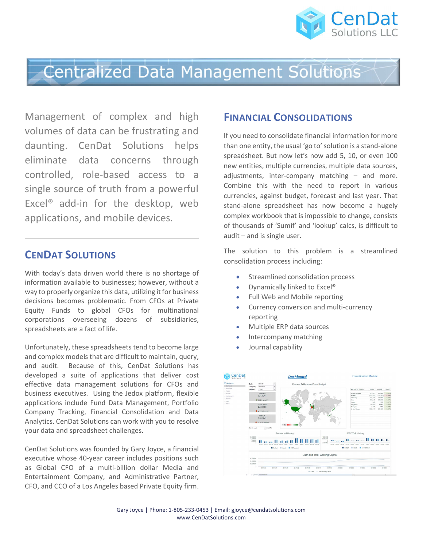

## **Centralized Data Management Solutions**

Management of complex and high volumes of data can be frustrating and daunting. CenDat Solutions helps eliminate data concerns through controlled, role-based access to a single source of truth from a powerful Excel® add-in for the desktop, web applications, and mobile devices.

### CENDAT SOLUTIONS

With today's data driven world there is no shortage of information available to businesses; however, without a way to properly organize this data, utilizing it for business decisions becomes problematic. From CFOs at Private Equity Funds to global CFOs for multinational corporations overseeing dozens of subsidiaries, spreadsheets are a fact of life.

Unfortunately, these spreadsheets tend to become large and complex models that are difficult to maintain, query, and audit. Because of this, CenDat Solutions has developed a suite of applications that deliver cost effective data management solutions for CFOs and business executives. Using the Jedox platform, flexible applications include Fund Data Management, Portfolio Company Tracking, Financial Consolidation and Data Analytics. CenDat Solutions can work with you to resolve your data and spreadsheet challenges.

CenDat Solutions was founded by Gary Joyce, a financial executive whose 40-year career includes positions such as Global CFO of a multi-billion dollar Media and Entertainment Company, and Administrative Partner, CFO, and CCO of a Los Angeles based Private Equity firm.

#### FINANCIAL CONSOLIDATIONS

If you need to consolidate financial information for more than one entity, the usual 'go to' solution is a stand-alone spreadsheet. But now let's now add 5, 10, or even 100 new entities, multiple currencies, multiple data sources, adjustments, inter-company matching – and more. Combine this with the need to report in various currencies, against budget, forecast and last year. That stand-alone spreadsheet has now become a hugely complex workbook that is impossible to change, consists of thousands of 'Sumif' and 'lookup' calcs, is difficult to audit – and is single user.

The solution to this problem is a streamlined consolidation process including:

- Streamlined consolidation process
- Dynamically linked to Excel<sup>®</sup>
- Full Web and Mobile reporting
- Currency conversion and multi-currency reporting
- Multiple ERP data sources
- Intercompany matching
- Journal capability